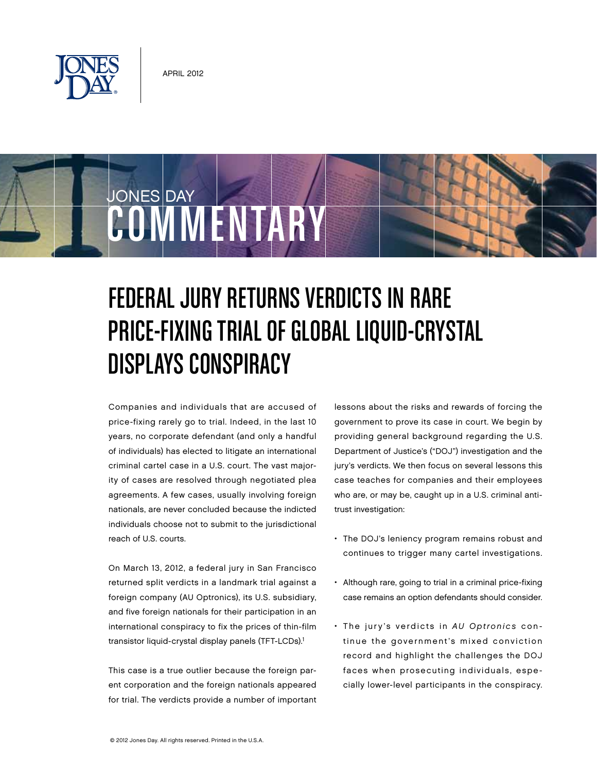

JONES DAY

# Federal Jury Returns Verdicts in Rare PRICE-FIXING TRIAL OF GLOBAL LIQUID-CRYSTAL Displays Conspiracy

Companies and individuals that are accused of price-fixing rarely go to trial. Indeed, in the last 10 years, no corporate defendant (and only a handful of individuals) has elected to litigate an international criminal cartel case in a U.S. court. The vast majority of cases are resolved through negotiated plea agreements. A few cases, usually involving foreign nationals, are never concluded because the indicted individuals choose not to submit to the jurisdictional reach of U.S. courts.

COMMENTARY

On March 13, 2012, a federal jury in San Francisco returned split verdicts in a landmark trial against a foreign company (AU Optronics), its U.S. subsidiary, and five foreign nationals for their participation in an international conspiracy to fix the prices of thin-film transistor liquid-crystal display panels (TFT-LCDs).<sup>1</sup>

This case is a true outlier because the foreign parent corporation and the foreign nationals appeared for trial. The verdicts provide a number of important lessons about the risks and rewards of forcing the government to prove its case in court. We begin by providing general background regarding the U.S. Department of Justice's ("DOJ") investigation and the jury's verdicts. We then focus on several lessons this case teaches for companies and their employees who are, or may be, caught up in a U.S. criminal antitrust investigation:

- The DOJ's leniency program remains robust and continues to trigger many cartel investigations.
- Although rare, going to trial in a criminal price-fixing case remains an option defendants should consider.
- The jury's verdicts in AU Optronics continue the government's mixed conviction record and highlight the challenges the DOJ faces when prosecuting individuals, especially lower-level participants in the conspiracy.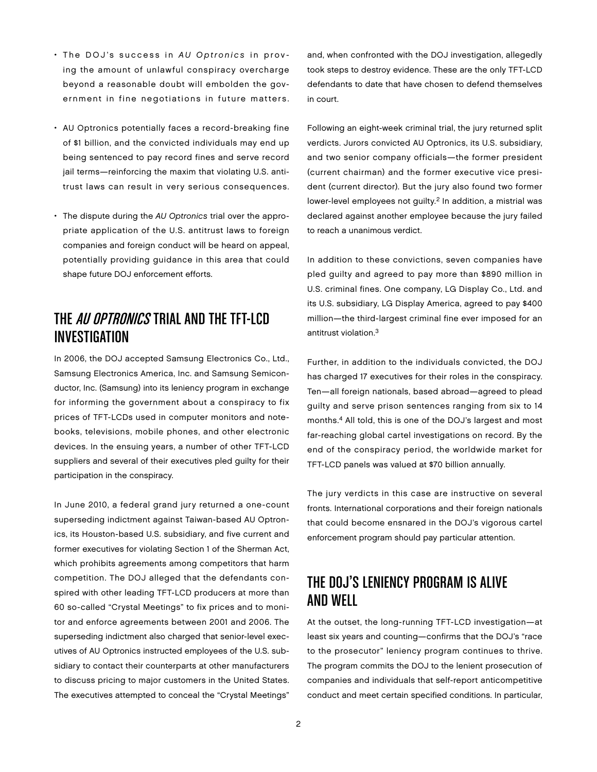- The DOJ's success in AU Optronics in proving the amount of unlawful conspiracy overcharge beyond a reasonable doubt will embolden the government in fine negotiations in future matters.
- AU Optronics potentially faces a record-breaking fine of \$1 billion, and the convicted individuals may end up being sentenced to pay record fines and serve record jail terms-reinforcing the maxim that violating U.S. antitrust laws can result in very serious consequences.
- The dispute during the AU Optronics trial over the appropriate application of the U.S. antitrust laws to foreign companies and foreign conduct will be heard on appeal, potentially providing guidance in this area that could shape future DOJ enforcement efforts.

## THE *AII OPTRONICS* TRIAL AND THE TET-LCD Investigation

In 2006, the DOJ accepted Samsung Electronics Co., Ltd., Samsung Electronics America, Inc. and Samsung Semiconductor, Inc. (Samsung) into its leniency program in exchange for informing the government about a conspiracy to fix prices of TFT-LCDs used in computer monitors and notebooks, televisions, mobile phones, and other electronic devices. In the ensuing years, a number of other TFT-LCD suppliers and several of their executives pled guilty for their participation in the conspiracy.

In June 2010, a federal grand jury returned a one-count superseding indictment against Taiwan-based AU Optronics, its Houston-based U.S. subsidiary, and five current and former executives for violating Section 1 of the Sherman Act, which prohibits agreements among competitors that harm competition. The DOJ alleged that the defendants conspired with other leading TFT-LCD producers at more than 60 so-called "Crystal Meetings" to fix prices and to monitor and enforce agreements between 2001 and 2006. The superseding indictment also charged that senior-level executives of AU Optronics instructed employees of the U.S. subsidiary to contact their counterparts at other manufacturers to discuss pricing to major customers in the United States. The executives attempted to conceal the "Crystal Meetings"

and, when confronted with the DOJ investigation, allegedly took steps to destroy evidence. These are the only TFT-LCD defendants to date that have chosen to defend themselves in court.

Following an eight-week criminal trial, the jury returned split verdicts. Jurors convicted AU Optronics, its U.S. subsidiary, and two senior company officials—the former president (current chairman) and the former executive vice president (current director). But the jury also found two former lower-level employees not quilty.<sup>2</sup> In addition, a mistrial was declared against another employee because the jury failed to reach a unanimous verdict.

In addition to these convictions, seven companies have pled guilty and agreed to pay more than \$890 million in U.S. criminal fines. One company, LG Display Co., Ltd. and its U.S. subsidiary, LG Display America, agreed to pay \$400 million—the third-largest criminal fine ever imposed for an antitrust violation.3

Further, in addition to the individuals convicted, the DOJ has charged 17 executives for their roles in the conspiracy. Ten—all foreign nationals, based abroad—agreed to plead guilty and serve prison sentences ranging from six to 14 months.4 All told, this is one of the DOJ's largest and most far-reaching global cartel investigations on record. By the end of the conspiracy period, the worldwide market for TFT-LCD panels was valued at \$70 billion annually.

The jury verdicts in this case are instructive on several fronts. International corporations and their foreign nationals that could become ensnared in the DOJ's vigorous cartel enforcement program should pay particular attention.

# The DOJ's Leniency Program Is Alive and Well

At the outset, the long-running TFT-LCD investigation—at least six years and counting—confirms that the DOJ's "race to the prosecutor" leniency program continues to thrive. The program commits the DOJ to the lenient prosecution of companies and individuals that self-report anticompetitive conduct and meet certain specified conditions. In particular,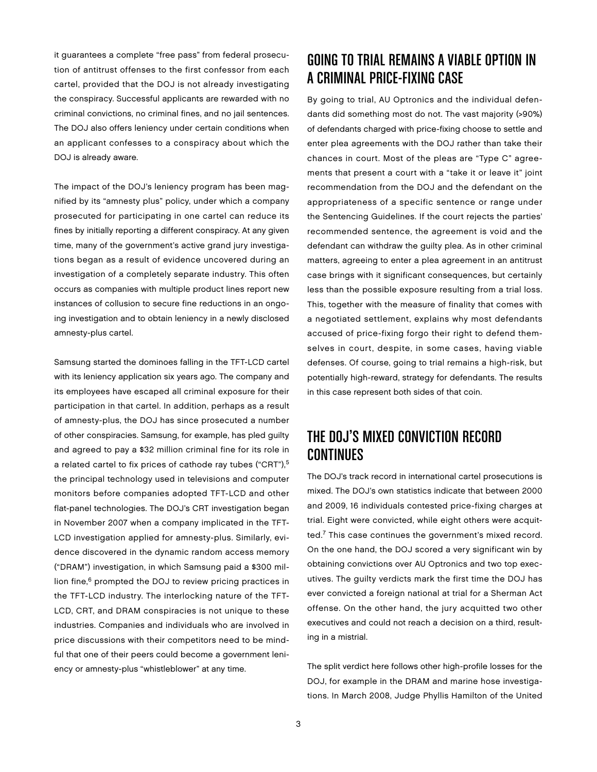it guarantees a complete "free pass" from federal prosecution of antitrust offenses to the first confessor from each cartel, provided that the DOJ is not already investigating the conspiracy. Successful applicants are rewarded with no criminal convictions, no criminal fines, and no jail sentences. The DOJ also offers leniency under certain conditions when an applicant confesses to a conspiracy about which the DOJ is already aware.

The impact of the DOJ's leniency program has been magnified by its "amnesty plus" policy, under which a company prosecuted for participating in one cartel can reduce its fines by initially reporting a different conspiracy. At any given time, many of the government's active grand jury investigations began as a result of evidence uncovered during an investigation of a completely separate industry. This often occurs as companies with multiple product lines report new instances of collusion to secure fine reductions in an ongoing investigation and to obtain leniency in a newly disclosed amnesty-plus cartel.

Samsung started the dominoes falling in the TFT-LCD cartel with its leniency application six years ago. The company and its employees have escaped all criminal exposure for their participation in that cartel. In addition, perhaps as a result of amnesty-plus, the DOJ has since prosecuted a number of other conspiracies. Samsung, for example, has pled guilty and agreed to pay a \$32 million criminal fine for its role in a related cartel to fix prices of cathode ray tubes ("CRT"),<sup>5</sup> the principal technology used in televisions and computer monitors before companies adopted TFT-LCD and other flat-panel technologies. The DOJ's CRT investigation began in November 2007 when a company implicated in the TFT-LCD investigation applied for amnesty-plus. Similarly, evidence discovered in the dynamic random access memory ("DRAM") investigation, in which Samsung paid a \$300 million fine,<sup>6</sup> prompted the DOJ to review pricing practices in the TFT-LCD industry. The interlocking nature of the TFT-LCD, CRT, and DRAM conspiracies is not unique to these industries. Companies and individuals who are involved in price discussions with their competitors need to be mindful that one of their peers could become a government leniency or amnesty-plus "whistleblower" at any time.

# Going to Trial Remains a Viable Option in a Criminal Price-Fixing Case

By going to trial, AU Optronics and the individual defendants did something most do not. The vast majority (>90%) of defendants charged with price-fixing choose to settle and enter plea agreements with the DOJ rather than take their chances in court. Most of the pleas are "Type C" agreements that present a court with a "take it or leave it" joint recommendation from the DOJ and the defendant on the appropriateness of a specific sentence or range under the Sentencing Guidelines. If the court rejects the parties' recommended sentence, the agreement is void and the defendant can withdraw the guilty plea. As in other criminal matters, agreeing to enter a plea agreement in an antitrust case brings with it significant consequences, but certainly less than the possible exposure resulting from a trial loss. This, together with the measure of finality that comes with a negotiated settlement, explains why most defendants accused of price-fixing forgo their right to defend themselves in court, despite, in some cases, having viable defenses. Of course, going to trial remains a high-risk, but potentially high-reward, strategy for defendants. The results in this case represent both sides of that coin.

## The DOJ's Mixed Conviction Record Continues

The DOJ's track record in international cartel prosecutions is mixed. The DOJ's own statistics indicate that between 2000 and 2009, 16 individuals contested price-fixing charges at trial. Eight were convicted, while eight others were acquitted.7 This case continues the government's mixed record. On the one hand, the DOJ scored a very significant win by obtaining convictions over AU Optronics and two top executives. The guilty verdicts mark the first time the DOJ has ever convicted a foreign national at trial for a Sherman Act offense. On the other hand, the jury acquitted two other executives and could not reach a decision on a third, resulting in a mistrial.

The split verdict here follows other high-profile losses for the DOJ, for example in the DRAM and marine hose investigations. In March 2008, Judge Phyllis Hamilton of the United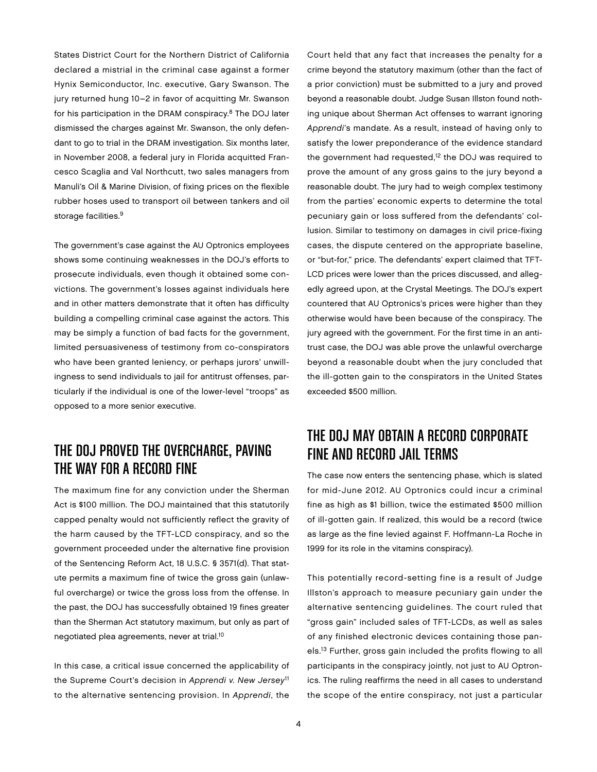States District Court for the Northern District of California declared a mistrial in the criminal case against a former Hynix Semiconductor, Inc. executive, Gary Swanson. The jury returned hung 10–2 in favor of acquitting Mr. Swanson for his participation in the DRAM conspiracy.8 The DOJ later dismissed the charges against Mr. Swanson, the only defendant to go to trial in the DRAM investigation. Six months later, in November 2008, a federal jury in Florida acquitted Francesco Scaglia and Val Northcutt, two sales managers from Manuli's Oil & Marine Division, of fixing prices on the flexible rubber hoses used to transport oil between tankers and oil storage facilities.<sup>9</sup>

The government's case against the AU Optronics employees shows some continuing weaknesses in the DOJ's efforts to prosecute individuals, even though it obtained some convictions. The government's losses against individuals here and in other matters demonstrate that it often has difficulty building a compelling criminal case against the actors. This may be simply a function of bad facts for the government, limited persuasiveness of testimony from co-conspirators who have been granted leniency, or perhaps jurors' unwillingness to send individuals to jail for antitrust offenses, particularly if the individual is one of the lower-level "troops" as opposed to a more senior executive.

## The DOJ Proved the Overcharge, Paving the Way for a Record Fine

The maximum fine for any conviction under the Sherman Act is \$100 million. The DOJ maintained that this statutorily capped penalty would not sufficiently reflect the gravity of the harm caused by the TFT-LCD conspiracy, and so the government proceeded under the alternative fine provision of the Sentencing Reform Act, 18 U.S.C. § 3571(d). That statute permits a maximum fine of twice the gross gain (unlawful overcharge) or twice the gross loss from the offense. In the past, the DOJ has successfully obtained 19 fines greater than the Sherman Act statutory maximum, but only as part of negotiated plea agreements, never at trial.10

In this case, a critical issue concerned the applicability of the Supreme Court's decision in Apprendi v. New Jersey<sup>11</sup> to the alternative sentencing provision. In Apprendi, the Court held that any fact that increases the penalty for a crime beyond the statutory maximum (other than the fact of a prior conviction) must be submitted to a jury and proved beyond a reasonable doubt. Judge Susan Illston found nothing unique about Sherman Act offenses to warrant ignoring Apprendi's mandate. As a result, instead of having only to satisfy the lower preponderance of the evidence standard the government had requested,<sup>12</sup> the DOJ was required to prove the amount of any gross gains to the jury beyond a reasonable doubt. The jury had to weigh complex testimony from the parties' economic experts to determine the total pecuniary gain or loss suffered from the defendants' collusion. Similar to testimony on damages in civil price-fixing cases, the dispute centered on the appropriate baseline, or "but-for," price. The defendants' expert claimed that TFT-LCD prices were lower than the prices discussed, and allegedly agreed upon, at the Crystal Meetings. The DOJ's expert countered that AU Optronics's prices were higher than they otherwise would have been because of the conspiracy. The jury agreed with the government. For the first time in an antitrust case, the DOJ was able prove the unlawful overcharge beyond a reasonable doubt when the jury concluded that the ill-gotten gain to the conspirators in the United States exceeded \$500 million.

# The DOJ May Obtain a Record Corporate Fine and Record Jail Terms

The case now enters the sentencing phase, which is slated for mid-June 2012. AU Optronics could incur a criminal fine as high as \$1 billion, twice the estimated \$500 million of ill-gotten gain. If realized, this would be a record (twice as large as the fine levied against F. Hoffmann-La Roche in 1999 for its role in the vitamins conspiracy).

This potentially record-setting fine is a result of Judge Illston's approach to measure pecuniary gain under the alternative sentencing guidelines. The court ruled that "gross gain" included sales of TFT-LCDs, as well as sales of any finished electronic devices containing those panels.13 Further, gross gain included the profits flowing to all participants in the conspiracy jointly, not just to AU Optronics. The ruling reaffirms the need in all cases to understand the scope of the entire conspiracy, not just a particular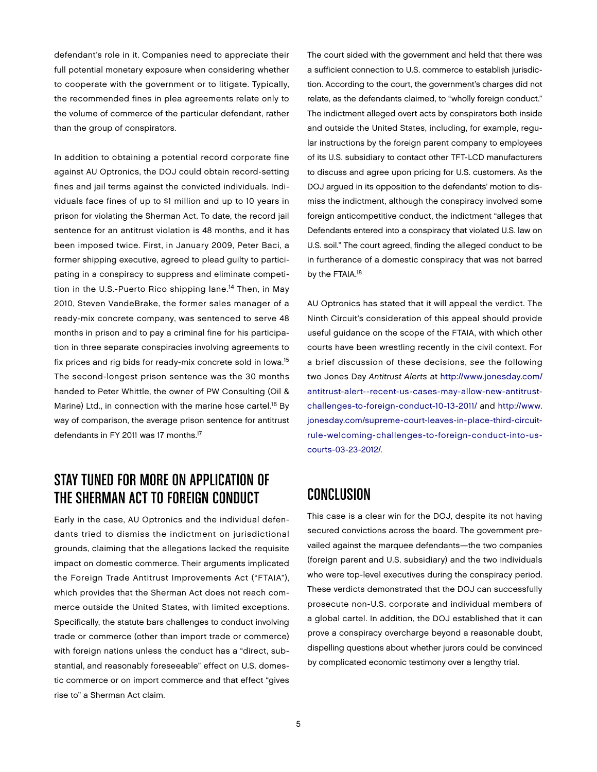defendant's role in it. Companies need to appreciate their full potential monetary exposure when considering whether to cooperate with the government or to litigate. Typically, the recommended fines in plea agreements relate only to the volume of commerce of the particular defendant, rather than the group of conspirators.

In addition to obtaining a potential record corporate fine against AU Optronics, the DOJ could obtain record-setting fines and jail terms against the convicted individuals. Individuals face fines of up to \$1 million and up to 10 years in prison for violating the Sherman Act. To date, the record jail sentence for an antitrust violation is 48 months, and it has been imposed twice. First, in January 2009, Peter Baci, a former shipping executive, agreed to plead guilty to participating in a conspiracy to suppress and eliminate competition in the U.S.-Puerto Rico shipping lane.<sup>14</sup> Then, in May 2010, Steven VandeBrake, the former sales manager of a ready-mix concrete company, was sentenced to serve 48 months in prison and to pay a criminal fine for his participation in three separate conspiracies involving agreements to fix prices and rig bids for ready-mix concrete sold in Iowa.<sup>15</sup> The second-longest prison sentence was the 30 months handed to Peter Whittle, the owner of PW Consulting (Oil & Marine) Ltd., in connection with the marine hose cartel.<sup>16</sup> By way of comparison, the average prison sentence for antitrust defendants in FY 2011 was 17 months.<sup>17</sup>

# STAY TUNED FOR MORE ON APPLICATION OF the Sherman Act to Foreign Conduct

Early in the case, AU Optronics and the individual defendants tried to dismiss the indictment on jurisdictional grounds, claiming that the allegations lacked the requisite impact on domestic commerce. Their arguments implicated the Foreign Trade Antitrust Improvements Act ("FTAIA"), which provides that the Sherman Act does not reach commerce outside the United States, with limited exceptions. Specifically, the statute bars challenges to conduct involving trade or commerce (other than import trade or commerce) with foreign nations unless the conduct has a "direct, substantial, and reasonably foreseeable" effect on U.S. domestic commerce or on import commerce and that effect "gives rise to" a Sherman Act claim.

The court sided with the government and held that there was a sufficient connection to U.S. commerce to establish jurisdiction. According to the court, the government's charges did not relate, as the defendants claimed, to "wholly foreign conduct." The indictment alleged overt acts by conspirators both inside and outside the United States, including, for example, regular instructions by the foreign parent company to employees of its U.S. subsidiary to contact other TFT-LCD manufacturers to discuss and agree upon pricing for U.S. customers. As the DOJ argued in its opposition to the defendants' motion to dismiss the indictment, although the conspiracy involved some foreign anticompetitive conduct, the indictment "alleges that Defendants entered into a conspiracy that violated U.S. law on U.S. soil." The court agreed, finding the alleged conduct to be in furtherance of a domestic conspiracy that was not barred by the FTAIA.<sup>18</sup>

AU Optronics has stated that it will appeal the verdict. The Ninth Circuit's consideration of this appeal should provide useful guidance on the scope of the FTAIA, with which other courts have been wrestling recently in the civil context. For a brief discussion of these decisions, see the following two Jones Day Antitrust Alerts at [http://www.jonesday.com/](http://www.jonesday.com/antitrust-alert--recent-us-cases-may-allow-new-antitrust-challenges-to-foreign-conduct-10-13-2011/) [antitrust-alert--recent-us-cases-may-allow-new-antitrust](http://www.jonesday.com/antitrust-alert--recent-us-cases-may-allow-new-antitrust-challenges-to-foreign-conduct-10-13-2011/)[challenges-to-foreign-conduct-10-13-2011/](http://www.jonesday.com/antitrust-alert--recent-us-cases-may-allow-new-antitrust-challenges-to-foreign-conduct-10-13-2011/) and [http://www.](http://www.jonesday.com/supreme-court-leaves-in-place-third-circuit-rule-welcoming-challenges-to-foreign-conduct-into-us-courts-03-23-2012/) [jonesday.com/supreme-court-leaves-in-place-third-circuit](http://www.jonesday.com/supreme-court-leaves-in-place-third-circuit-rule-welcoming-challenges-to-foreign-conduct-into-us-courts-03-23-2012/)rule-welcoming-challenges-to-foreign-conduct-into-uscourts-03-23-2012/.

#### Conclusion

This case is a clear win for the DOJ, despite its not having secured convictions across the board. The government prevailed against the marquee defendants—the two companies (foreign parent and U.S. subsidiary) and the two individuals who were top-level executives during the conspiracy period. These verdicts demonstrated that the DOJ can successfully prosecute non-U.S. corporate and individual members of a global cartel. In addition, the DOJ established that it can prove a conspiracy overcharge beyond a reasonable doubt, dispelling questions about whether jurors could be convinced by complicated economic testimony over a lengthy trial.